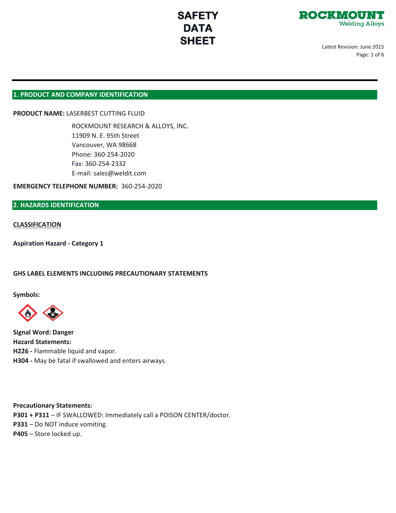



Latest Revision: June 2015 Page: 1 of 6

## **1. PRODUCT AND COMPANY IDENTIFICATION**

## **PRODUCT NAME:** LASERBEST CUTTING FLUID

ROCKMOUNT RESEARCH & ALLOYS, INC. 11909 N. E. 95th Street Vancouver, WA 98668 Phone: 360-254-2020 Fax: 360-254-2332 E-mail: sales@weldit.com

**EMERGENCY TELEPHONE NUMBER:** 360-254-2020

## **2. HAZARDS IDENTIFICATION**

#### **CLASSIFICATION**

**Aspiration Hazard - Category 1**

#### **GHS LABEL ELEMENTS INCLUDING PRECAUTIONARY STATEMENTS**

**Symbols:**



**Signal Word: Danger Hazard Statements: H226 -** Flammable liquid and vapor. **H304 -** May be fatal if swallowed and enters airways.

**Precautionary Statements: P301 + P311** – IF SWALLOWED: Immediately call a POISON CENTER/doctor. **P331** – Do NOT induce vomiting. **P405** – Store locked up.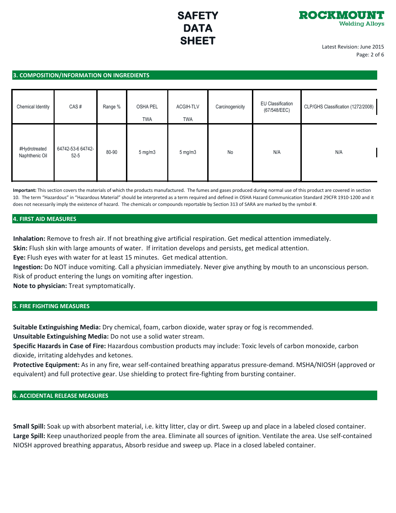

Latest Revision: June 2015 Page: 2 of 6

#### **3. COMPOSITION/INFORMATION ON INGREDIENTS**

| Chemical Identity               | CAS#                          | Range % | <b>OSHA PEL</b><br><b>TWA</b> | <b>ACGIH-TLV</b><br><b>TWA</b> | Carcinogenicity | EU Classification<br>(67/548/EEC) | CLP/GHS Classification (1272/2008) |
|---------------------------------|-------------------------------|---------|-------------------------------|--------------------------------|-----------------|-----------------------------------|------------------------------------|
| #Hydrotreated<br>Naphthenic Oil | 64742-53-6 64742-<br>$52 - 5$ | 80-90   | $5 \text{ mg/m}$              | $5 \text{ mg/m}$               | No              | N/A                               | N/A                                |

**Important:** This section covers the materials of which the products manufactured. The fumes and gases produced during normal use of this product are covered in section 10. The term "Hazardous" in "Hazardous Material" should be interpreted as a term required and defined in OSHA Hazard Communication Standard 29CFR 1910-1200 and it does not necessarily imply the existence of hazard. The chemicals or compounds reportable by Section 313 of SARA are marked by the symbol #.

#### **4. FIRST AID MEASURES**

**Inhalation:** Remove to fresh air. If not breathing give artificial respiration. Get medical attention immediately.

**Skin:** Flush skin with large amounts of water. If irritation develops and persists, get medical attention.

**Eye:** Flush eyes with water for at least 15 minutes. Get medical attention.

**Ingestion:** Do NOT induce vomiting. Call a physician immediately. Never give anything by mouth to an unconscious person. Risk of product entering the lungs on vomiting after ingestion.

**Note to physician:** Treat symptomatically.

## **5. FIRE FIGHTING MEASURES**

**Suitable Extinguishing Media:** Dry chemical, foam, carbon dioxide, water spray or fog is recommended.

**Unsuitable Extinguishing Media:** Do not use a solid water stream.

**Specific Hazards in Case of Fire:** Hazardous combustion products may include: Toxic levels of carbon monoxide, carbon dioxide, irritating aldehydes and ketones.

**Protective Equipment:** As in any fire, wear self-contained breathing apparatus pressure-demand. MSHA/NIOSH (approved or equivalent) and full protective gear. Use shielding to protect fire-fighting from bursting container.

## **6. ACCIDENTAL RELEASE MEASURES**

**Small Spill:** Soak up with absorbent material, i.e. kitty litter, clay or dirt. Sweep up and place in a labeled closed container. **Large Spill:** Keep unauthorized people from the area. Eliminate all sources of ignition. Ventilate the area. Use self-contained NIOSH approved breathing apparatus, Absorb residue and sweep up. Place in a closed labeled container.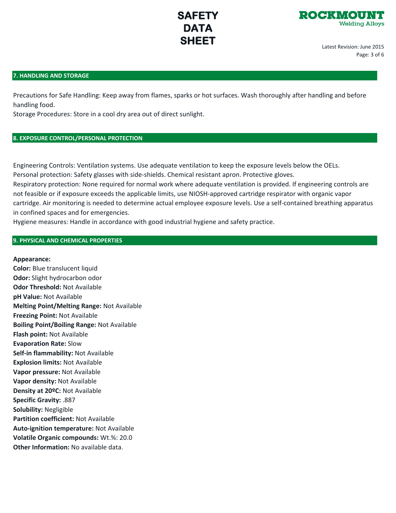

Latest Revision: June 2015 Page: 3 of 6

## **7. HANDLING AND STORAGE**

Precautions for Safe Handling: Keep away from flames, sparks or hot surfaces. Wash thoroughly after handling and before handling food.

Storage Procedures: Store in a cool dry area out of direct sunlight.

## **8. EXPOSURE CONTROL/PERSONAL PROTECTION**

Engineering Controls: Ventilation systems. Use adequate ventilation to keep the exposure levels below the OELs. Personal protection: Safety glasses with side-shields. Chemical resistant apron. Protective gloves. Respiratory protection: None required for normal work where adequate ventilation is provided. If engineering controls are not feasible or if exposure exceeds the applicable limits, use NIOSH-approved cartridge respirator with organic vapor cartridge. Air monitoring is needed to determine actual employee exposure levels. Use a self-contained breathing apparatus in confined spaces and for emergencies.

Hygiene measures: Handle in accordance with good industrial hygiene and safety practice.

## **9. PHYSICAL AND CHEMICAL PROPERTIES**

### **Appearance:**

**Color:** Blue translucent liquid **Odor:** Slight hydrocarbon odor **Odor Threshold:** Not Available **pH Value:** Not Available **Melting Point/Melting Range:** Not Available **Freezing Point:** Not Available **Boiling Point/Boiling Range:** Not Available **Flash point:** Not Available **Evaporation Rate:** Slow **Self-in flammability:** Not Available **Explosion limits:** Not Available **Vapor pressure:** Not Available **Vapor density:** Not Available **Density at 20ºC:** Not Available **Specific Gravity:** .887 **Solubility:** Negligible **Partition coefficient:** Not Available **Auto-ignition temperature:** Not Available **Volatile Organic compounds:** Wt.%: 20.0 **Other Information:** No available data.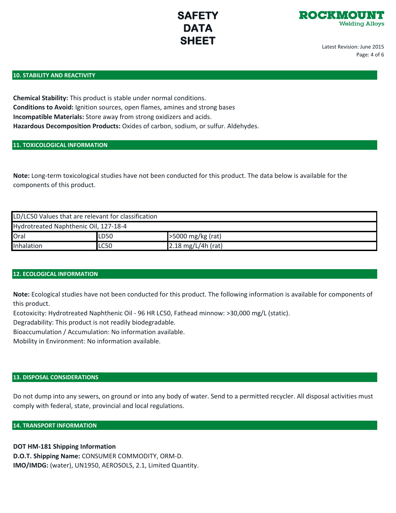

Latest Revision: June 2015 Page: 4 of 6

### **10. STABILITY AND REACTIVITY**

**Chemical Stability:** This product is stable under normal conditions. **Conditions to Avoid:** Ignition sources, open flames, amines and strong bases **Incompatible Materials:** Store away from strong oxidizers and acids. **Hazardous Decomposition Products:** Oxides of carbon, sodium, or sulfur. Aldehydes.

## **11. TOXICOLOGICAL INFORMATION**

**Note:** Long-term toxicological studies have not been conducted for this product. The data below is available for the components of this product.

| LD/LC50 Values that are relevant for classification |             |                              |  |  |  |  |  |
|-----------------------------------------------------|-------------|------------------------------|--|--|--|--|--|
| Hydrotreated Naphthenic Oil, 127-18-4               |             |                              |  |  |  |  |  |
| Oral                                                | LD50        | >5000 mg/kg (rat)            |  |  |  |  |  |
| Inhalation                                          | <b>LC50</b> | $2.18 \text{ mg/L/4h (rat)}$ |  |  |  |  |  |

## **12. ECOLOGICAL INFORMATION**

**Note:** Ecological studies have not been conducted for this product. The following information is available for components of this product.

Ecotoxicity: Hydrotreated Naphthenic Oil - 96 HR LC50, Fathead minnow: >30,000 mg/L (static).

Degradability: This product is not readily biodegradable.

Bioaccumulation / Accumulation: No information available.

Mobility in Environment: No information available.

## **13. DISPOSAL CONSIDERATIONS**

Do not dump into any sewers, on ground or into any body of water. Send to a permitted recycler. All disposal activities must comply with federal, state, provincial and local regulations.

## **14. TRANSPORT INFORMATION**

## **DOT HM-181 Shipping Information**

**D.O.T. Shipping Name:** CONSUMER COMMODITY, ORM-D. **IMO/IMDG:** (water), UN1950, AEROSOLS, 2.1, Limited Quantity.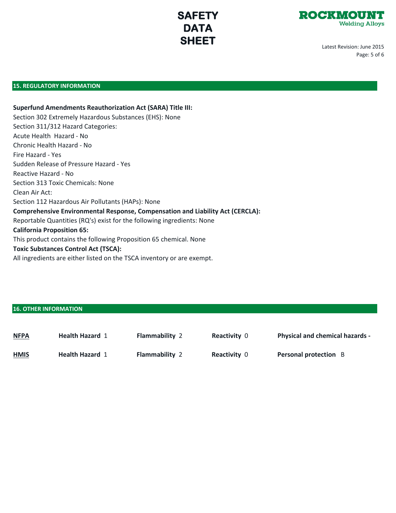

Latest Revision: June 2015 Page: 5 of 6

## **15. REGULATORY INFORMATION**

**Superfund Amendments Reauthorization Act (SARA) Title III:** Section 302 Extremely Hazardous Substances (EHS): None Section 311/312 Hazard Categories: Acute Health Hazard - No Chronic Health Hazard - No Fire Hazard - Yes Sudden Release of Pressure Hazard - Yes Reactive Hazard - No Section 313 Toxic Chemicals: None Clean Air Act: Section 112 Hazardous Air Pollutants (HAPs): None **Comprehensive Environmental Response, Compensation and Liability Act (CERCLA):** Reportable Quantities (RQ's) exist for the following ingredients: None **California Proposition 65:** This product contains the following Proposition 65 chemical. None **Toxic Substances Control Act (TSCA):** All ingredients are either listed on the TSCA inventory or are exempt.

## **16. OTHER INFORMATION**

| <b>NFPA</b> | <b>Health Hazard 1</b> | <b>Flammability 2</b> | <b>Reactivity 0</b> | <b>Physical and chemical hazards -</b> |
|-------------|------------------------|-----------------------|---------------------|----------------------------------------|
| <b>HMIS</b> | <b>Health Hazard 1</b> | <b>Flammability 2</b> | <b>Reactivity 0</b> | <b>Personal protection</b> B           |